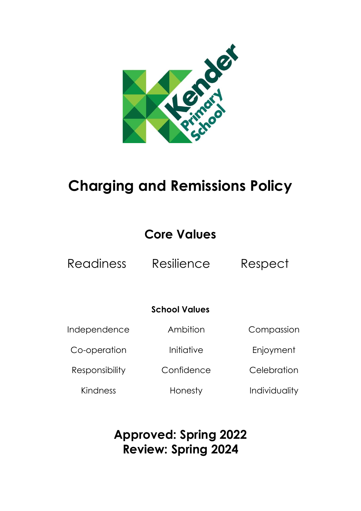

# **Charging and Remissions Policy**

## **Core Values**

Readiness Resilience Respect

### **School Values**

Ambition

Initiative

Independence

Co-operation

Responsibility

Kindness

**Confidence** 

Honesty

Compassion

Enjoyment

**Celebration** 

Individuality

### **Approved: Spring 2022 Review: Spring 2024**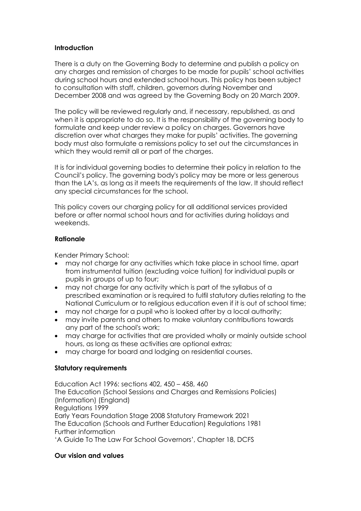#### **Introduction**

There is a duty on the Governing Body to determine and publish a policy on any charges and remission of charges to be made for pupils' school activities during school hours and extended school hours. This policy has been subject to consultation with staff, children, governors during November and December 2008 and was agreed by the Governing Body on 20 March 2009.

The policy will be reviewed regularly and, if necessary, republished, as and when it is appropriate to do so. It is the responsibility of the governing body to formulate and keep under review a policy on charges. Governors have discretion over what charges they make for pupils' activities. The governing body must also formulate a remissions policy to set out the circumstances in which they would remit all or part of the charges.

It is for individual governing bodies to determine their policy in relation to the Council's policy. The governing body's policy may be more or less generous than the LA's, as long as it meets the requirements of the law. It should reflect any special circumstances for the school.

This policy covers our charging policy for all additional services provided before or after normal school hours and for activities during holidays and weekends.

#### **Rationale**

Kender Primary School:

- may not charge for any activities which take place in school time, apart from instrumental tuition (excluding voice tuition) for individual pupils or pupils in groups of up to four;
- may not charge for any activity which is part of the syllabus of a prescribed examination or is required to fulfil statutory duties relating to the National Curriculum or to religious education even if it is out of school time;
- may not charge for a pupil who is looked after by a local authority;
- may invite parents and others to make voluntary contributions towards any part of the school's work;
- may charge for activities that are provided wholly or mainly outside school hours, as long as these activities are optional extras;
- may charge for board and lodging on residential courses.

#### **Statutory requirements**

Education Act 1996: sections 402, 450 – 458, 460 The Education (School Sessions and Charges and Remissions Policies) (Information) (England) Regulations 1999 Early Years Foundation Stage 2008 Statutory Framework 2021 The Education (Schools and Further Education) Regulations 1981 Further information 'A Guide To The Law For School Governors', Chapter 18, DCFS

#### **Our vision and values**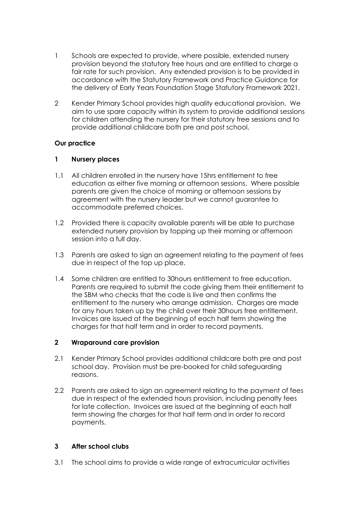- 1 Schools are expected to provide, where possible, extended nursery provision beyond the statutory free hours and are entitled to charge a fair rate for such provision. Any extended provision is to be provided in accordance with the Statutory Framework and Practice Guidance for the delivery of Early Years Foundation Stage Statutory Framework 2021.
- 2 Kender Primary School provides high quality educational provision. We aim to use spare capacity within its system to provide additional sessions for children attending the nursery for their statutory free sessions and to provide additional childcare both pre and post school.

#### **Our practice**

#### **1 Nursery places**

- 1.1 All children enrolled in the nursery have 15hrs entitlement to free education as either five morning or afternoon sessions. Where possible parents are given the choice of morning or afternoon sessions by agreement with the nursery leader but we cannot guarantee to accommodate preferred choices.
- 1.2 Provided there is capacity available parents will be able to purchase extended nursery provision by topping up their morning or afternoon session into a full day.
- 1.3 Parents are asked to sign an agreement relating to the payment of fees due in respect of the top up place.
- 1.4 Some children are entitled to 30hours entitlement to free education. Parents are required to submit the code giving them their entitlement to the SBM who checks that the code is live and then confirms the entitlement to the nursery who arrange admission. Charges are made for any hours taken up by the child over their 30hours free entitlement. Invoices are issued at the beginning of each half term showing the charges for that half term and in order to record payments.

#### **2 Wraparound care provision**

- 2.1 Kender Primary School provides additional childcare both pre and post school day. Provision must be pre-booked for child safeguarding reasons.
- 2.2 Parents are asked to sign an agreement relating to the payment of fees due in respect of the extended hours provision, including penalty fees for late collection. Invoices are issued at the beginning of each half term showing the charges for that half term and in order to record payments.

#### **3 After school clubs**

3.1 The school aims to provide a wide range of extracurricular activities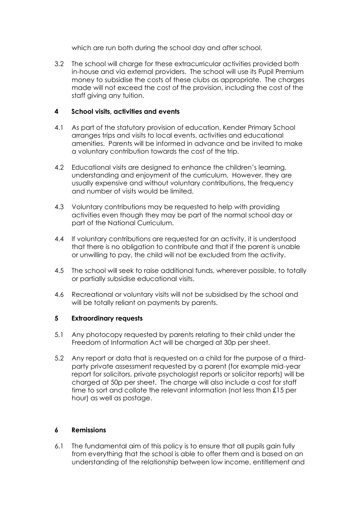which are run both during the school day and after school.

3.2 The school will charge for these extracurricular activities provided both in-house and via external providers. The school will use its Pupil Premium money to subsidise the costs of these clubs as appropriate. The charges made will not exceed the cost of the provision, including the cost of the staff giving any tuition.

#### **4 School visits, activities and events**

- 4.1 As part of the statutory provision of education, Kender Primary School arranges trips and visits to local events, activities and educational amenities. Parents will be informed in advance and be invited to make a voluntary contribution towards the cost of the trip.
- 4.2 Educational visits are designed to enhance the children's learning, understanding and enjoyment of the curriculum. However, they are usually expensive and without voluntary contributions, the frequency and number of visits would be limited.
- 4.3 Voluntary contributions may be requested to help with providing activities even though they may be part of the normal school day or part of the National Curriculum.
- 4.4 If voluntary contributions are requested for an activity, it is understood that there is no obligation to contribute and that if the parent is unable or unwilling to pay, the child will not be excluded from the activity.
- 4.5 The school will seek to raise additional funds, wherever possible, to totally or partially subsidise educational visits.
- 4.6 Recreational or voluntary visits will not be subsidised by the school and will be totally reliant on payments by parents.

#### **5 Extraordinary requests**

- 5,1 Any photocopy requested by parents relating to their child under the Freedom of Information Act will be charged at 30p per sheet.
- 5.2 Any report or data that is requested on a child for the purpose of a thirdparty private assessment requested by a parent (for example mid-year report for solicitors, private psychologist reports or solicitor reports) will be charged at 50p per sheet. The charge will also include a cost for staff time to sort and collate the relevant information (not less than £15 per hour) as well as postage.

#### **6 Remissions**

6.1 The fundamental aim of this policy is to ensure that all pupils gain fully from everything that the school is able to offer them and is based on an understanding of the relationship between low income, entitlement and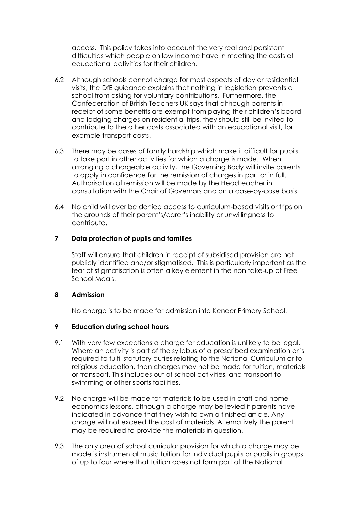access. This policy takes into account the very real and persistent difficulties which people on low income have in meeting the costs of educational activities for their children.

- 6.2 Although schools cannot charge for most aspects of day or residential visits, the DfE guidance explains that nothing in legislation prevents a school from asking for voluntary contributions. Furthermore, the Confederation of British Teachers UK says that although parents in receipt of some benefits are exempt from paying their children's board and lodging charges on residential trips, they should still be invited to contribute to the other costs associated with an educational visit, for example transport costs.
- 6.3 There may be cases of family hardship which make it difficult for pupils to take part in other activities for which a charge is made. When arranging a chargeable activity, the Governing Body will invite parents to apply in confidence for the remission of charges in part or in full. Authorisation of remission will be made by the Headteacher in consultation with the Chair of Governors and on a case-by-case basis.
- 6.4 No child will ever be denied access to curriculum-based visits or trips on the grounds of their parent's/carer's inability or unwillingness to contribute.

#### **7 Data protection of pupils and families**

Staff will ensure that children in receipt of subsidised provision are not publicly identified and/or stigmatised. This is particularly important as the fear of stigmatisation is often a key element in the non take-up of Free School Meals.

#### **8 Admission**

No charge is to be made for admission into Kender Primary School.

#### **9 Education during school hours**

- 9.1 With very few exceptions a charge for education is unlikely to be legal. Where an activity is part of the syllabus of a prescribed examination or is required to fulfil statutory duties relating to the National Curriculum or to religious education, then charges may not be made for tuition, materials or transport. This includes out of school activities, and transport to swimming or other sports facilities.
- 9.2 No charge will be made for materials to be used in craft and home economics lessons, although a charge may be levied if parents have indicated in advance that they wish to own a finished article. Any charge will not exceed the cost of materials. Alternatively the parent may be required to provide the materials in question.
- 9.3 The only area of school curricular provision for which a charge may be made is instrumental music tuition for individual pupils or pupils in groups of up to four where that tuition does not form part of the National